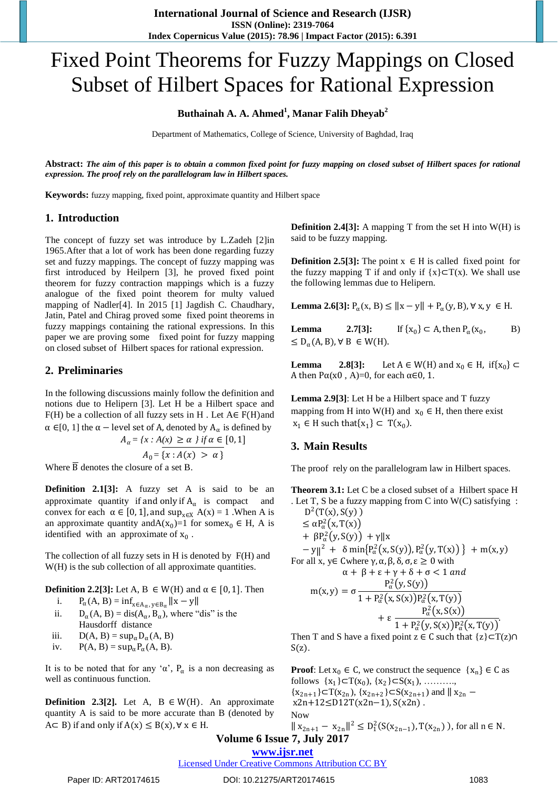# Fixed Point Theorems for Fuzzy Mappings on Closed Subset of Hilbert Spaces for Rational Expression

## **Buthainah A. A. Ahmed<sup>1</sup> , Manar Falih Dheyab<sup>2</sup>**

Department of Mathematics, College of Science, University of Baghdad, Iraq

**Abstract:** *The aim of this paper is to obtain a common fixed point for fuzzy mapping on closed subset of Hilbert spaces for rational expression. The proof rely on the parallelogram law in Hilbert spaces.*

**Keywords:** fuzzy mapping, fixed point, approximate quantity and Hilbert space

#### **1. Introduction**

The concept of fuzzy set was introduce by L.Zadeh [2]in 1965.After that a lot of work has been done regarding fuzzy set and fuzzy mappings. The concept of fuzzy mapping was first introduced by Heilpern [3], he proved fixed point theorem for fuzzy contraction mappings which is a fuzzy analogue of the fixed point theorem for multy valued mapping of Nadler[4]. In 2015 [1] Jagdish C. Chaudhary, Jatin, Patel and Chirag proved some fixed point theorems in fuzzy mappings containing the rational expressions. In this paper we are proving some fixed point for fuzzy mapping on closed subset of Hilbert spaces for rational expression.

#### **2. Preliminaries**

In the following discussions mainly follow the definition and notions due to Helipern [3]. Let H be a Hilbert space and  $F(H)$  be a collection of all fuzzy sets in H. Let  $A \in F(H)$  and  $\alpha \in [0, 1]$  the  $\alpha$  – level set of A, denoted by  $A_{\alpha}$  is defined by

$$
A_{\alpha} = \{x : A(x) \ge \alpha \} \text{ if } \alpha \in [0, 1]
$$

$$
A_0 = \{x : A(x) > \alpha \}
$$

Where  $\overline{B}$  denotes the closure of a set B.

**Definition 2.1[3]:** A fuzzy set A is said to be an approximate quantity if and only if  $A_{\alpha}$  is compact and convex for each  $\alpha \in [0, 1]$ , and  $\sup_{x \in X} A(x) = 1$ . When A is an approximate quantity and  $A(x_0)=1$  for some  $x_0 \in H$ , A is identified with an approximate of  $x_0$ .

The collection of all fuzzy sets in H is denoted by F(H) and W(H) is the sub collection of all approximate quantities.

#### **Definition 2.2[3]:** Let A, B  $\in W(H)$  and  $\alpha \in [0, 1]$ . Then

- i.  $P_{\alpha}(A, B) = \inf_{x \in A_{\alpha}, y \in B_{\alpha}} ||x y||$
- ii.  $D_{\alpha}(A, B) = \text{dis}(A_{\alpha}, B_{\alpha})$ , where "dis" is the Hausdorff distance
- iii.  $D(A, B) = \sup_{\alpha} D_{\alpha}(A, B)$
- iv.  $P(A, B) = \sup_{\alpha} P_{\alpha}(A, B).$

It is to be noted that for any ' $\alpha'$ ,  $P_{\alpha}$  is a non decreasing as well as continuous function.

**Definition 2.3[2].** Let A,  $B \in W(H)$ . An approximate quantity A is said to be more accurate than B (denoted by  $A \subset B$ ) if and only if  $A(x) \leq B(x)$ ,  $\forall x \in H$ .

**Definition 2.4[3]:** A mapping T from the set H into W(H) is said to be fuzzy mapping.

**Definition 2.5[3]:** The point  $x \in H$  is called fixed point for the fuzzy mapping T if and only if  ${x} \subset T(x)$ . We shall use the following lemmas due to Helipern.

**Lemma 2.6[3]:**  $P_\alpha(x, B) \le ||x - y|| + P_\alpha(y, B)$ , ∀ x, y ∈ H.

**Lemma** 2.7[3]:  $\}$  ⊂ A, then  $P_{\alpha}(x_0)$  $B)$  $\leq D_{\alpha}(A, B), \forall B \in W(H).$ 

**Lemma** 2.8[3]: Let  $A \in W(H)$  and  $x_0 \in H$ , if  $\{x_0\} \subset$ A then  $P\alpha(x0, A)=0$ , for each  $\alpha \in 0, 1$ .

**Lemma 2.9[3]**: Let H be a Hilbert space and T fuzzy mapping from H into W(H) and  $x_0 \in H$ , then there exist  $x_1 \in H$  such that $\{x_1\} \subset T(x_0)$ .

## **3. Main Results**

The proof rely on the parallelogram law in Hilbert spaces.

**Theorem 3.1:** Let C be a closed subset of a Hilbert space H . Let T, S be a fuzzy mapping from C into W(C) satisfying :  $D^2(T(x), S(y))$  $\leq \alpha P_\alpha^2(x,T(x))$  $+ \beta P_\alpha^2(y, S(y)) + \gamma \|x\|$  $- y \|^2 + \delta \min\{P_\alpha^2(x, S(y)), P_\alpha^2(y, T(x))\} + m(x, y)$ For all x,  $y \in$  Cwhere  $\gamma$ ,  $\alpha$ ,  $\beta$ ,  $\delta$ ,  $\sigma$ ,  $\varepsilon \geq 0$  with

$$
\alpha + \beta + \varepsilon + \gamma + \delta + \sigma < 1 \text{ and}
$$
\n
$$
m(x, y) = \sigma \frac{P_{\alpha}^{2}(y, S(y))}{1 + P_{\alpha}^{2}(x, S(x))P_{\alpha}^{2}(x, T(y))} + \varepsilon \frac{P_{\alpha}^{2}(x, S(x))}{1 + P_{\alpha}^{2}(y, S(x))P_{\alpha}^{2}(x, T(y))}
$$

Then T and S have a fixed point  $z \in C$  such that  $\{z\} \subset T(z) \cap C$  $S(z)$ .

**Proof**: Let  $x_0 \in C$ , we construct the sequence  $\{x_n\} \in C$  as follows  $\{x_1\} \subset T(x_0)$ ,  $\{x_2\} \subset S(x_1)$ , ........,  ${x_{2n+1}}\subset T(x_{2n}), {x_{2n+2}}\subset S(x_{2n+1})$  and  $||x_{2n}$ x2n+12≤D12T(x2n−1), S(x2n) . Now 2

$$
||x_{2n+1} - x_{2n}||^2 \le D_1^2(S(x_{2n-1}), T(x_{2n}))
$$
, for all  $n \in N$ .

## **Volume 6 Issue 7, July 2017**

## **www.ijsr.net**

Licensed Under Creative Commons Attribution CC BY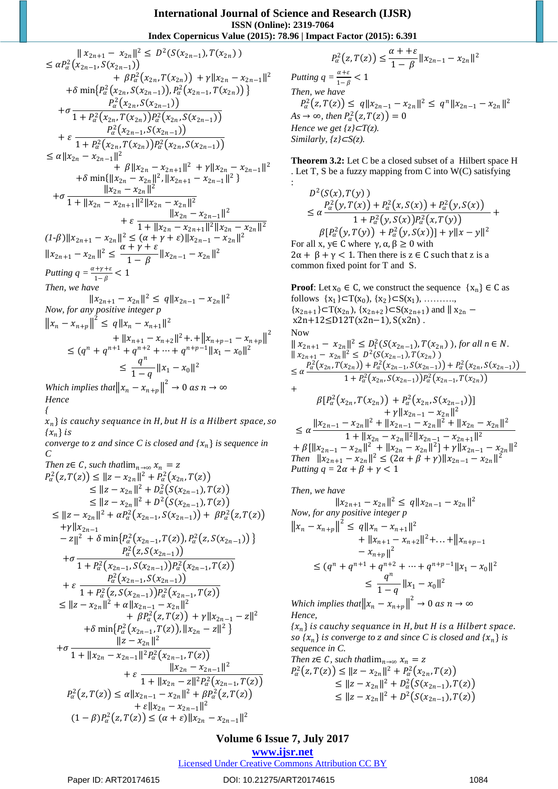:

$$
\|x_{2n+1} - x_{2n}\|^2 \le D^2(S(x_{2n-1}), T(x_{2n}))
$$
\n
$$
\le \alpha P_\alpha^2(x_{2n-1}, S(x_{2n-1})) + \beta P_\alpha^2(x_{2n}, T(x_{2n})) + \gamma \|x_{2n} - x_{2n-1}\|^2
$$
\n
$$
+ \delta \min\{P_\alpha^2(x_{2n}, S(x_{2n-1})), P_\alpha^2(x_{2n-1}, T(x_{2n}))\}
$$
\n
$$
+ \sigma \frac{P_\alpha^2(x_{2n}, S(x_{2n-1}))}{1 + P_\alpha^2(x_{2n}, T(x_{2n}))P_\alpha^2(x_{2n}, S(x_{2n-1}))}
$$
\n
$$
+ \varepsilon \frac{P_\alpha^2(x_{2n}, T(x_{2n}))P_\alpha^2(x_{2n}, S(x_{2n-1}))}{1 + P_\alpha^2(x_{2n}, T(x_{2n}))P_\alpha^2(x_{2n}, S(x_{2n-1}))}
$$
\n
$$
\le \alpha \|x_{2n} - x_{2n-1}\|^2 + \beta \|x_{2n} - x_{2n+1}\|^2 + \gamma \|x_{2n} - x_{2n-1}\|^2
$$
\n
$$
+ \delta \min\{\|x_{2n} - x_{2n}\|^2, \|x_{2n+1} - x_{2n-1}\|^2\}
$$
\n
$$
+ \sigma \frac{\|x_{2n} - x_{2n}\|^2}{1 + \|x_{2n} - x_{2n+1}\|^2\|x_{2n} - x_{2n-1}\|^2}
$$
\n
$$
+ \varepsilon \frac{\|x_{2n} - x_{2n-1}\|^2}{1 + \|x_{2n} - x_{2n-1}\|^2}
$$
\n
$$
+ \varepsilon \frac{\|x_{2n} - x_{2n-1}\|^2}{1 - \beta}
$$
\n
$$
+ \varepsilon \frac{\|x_{2n} - x_{2n-1}\|^2}{1 - \beta}
$$
\n
$$
+ \varepsilon \frac{\|x_{2n} - x_{2n-1}\|^2}{1 - \beta}
$$
\n
$$
+ \varepsilon \frac{\|x_{2n} - x_{2n}\|^2}{1 - \beta}
$$
\n
$$
+ \varepsilon \frac{\|x_{2n} - x_{2n}\|^2}{1 - \beta}
$$
\n

*{*

 $\{x_n\}$  is cauchy sequance in H, but H is a Hilbert space, so  ${x_n}$  *is* 

*converge to*  $z$  and since  $C$  is closed and  $\{x_n\}$  is sequence in *C* 

Then 
$$
z \in C
$$
, such that  $\lim_{n\to\infty} x_n = z$   
\n
$$
P_{\alpha}^2(z, T(z)) \le ||z - x_{2n}||^2 + P_{\alpha}^2(x_{2n}, T(z))
$$
\n
$$
\le ||z - x_{2n}||^2 + D_{\alpha}^2(S(x_{2n-1}), T(z))
$$
\n
$$
\le ||z - x_{2n}||^2 + D^2(S(x_{2n-1}), T(z))
$$
\n
$$
\le ||z - x_{2n}||^2 + \alpha P_{\alpha}^2(x_{2n-1}, S(x_{2n-1})) + \beta P_{\alpha}^2(z, T(z))
$$
\n
$$
+ \gamma ||x_{2n-1}
$$
\n
$$
- z||^2 + \delta \min \{ P_{\alpha}^2(x_{2n-1}, T(z)), P_{\alpha}^2(z, S(x_{2n-1})) \}
$$
\n
$$
+ \sigma \frac{P_{\alpha}^2(z, S(x_{2n-1}))}{1 + P_{\alpha}^2(x_{2n-1}, S(x_{2n-1})) P_{\alpha}^2(x_{2n-1}, T(z))}
$$
\n
$$
+ \varepsilon \frac{P_{\alpha}^2(x_{2n-1}, S(x_{2n-1}))}{1 + P_{\alpha}^2(z, S(x_{2n-1})) P_{\alpha}^2(x_{2n-1}, T(z))}
$$
\n
$$
\le ||z - x_{2n}||^2 + \alpha ||x_{2n-1} - x_{2n}||^2
$$
\n
$$
+ \beta P_{\alpha}^2(z, T(z)) + \gamma ||x_{2n-1} - z||^2
$$
\n
$$
+ \delta \min \{ P_{\alpha}^2(x_{2n-1}, T(z)), ||x_{2n} - z||^2 \}
$$
\n
$$
+ \sigma \frac{||z - x_{2n}||^2}{1 + ||x_{2n} - x_{2n-1}||^2 P_{\alpha}^2(x_{2n-1}, T(z))}
$$
\n
$$
+ \varepsilon \frac{||x_{2n} - x_{2n-1}||^2}{1 + ||x_{2n} - z||^2 P_{\alpha}^2(x_{2n-1}, T(z))}
$$
\n
$$
+ \varepsilon \frac{||x_{2n} - x_{2n-1}||^2}{1 + ||x_{2n} - z||^2 P_{\alpha}^
$$

 $P_\alpha^2(z,T(z)) \leq \frac{\alpha + \epsilon}{1 - \rho}$  $\frac{x+1}{1-\beta}||x_{2n-1}-x_{2n}||^2$ *Putting q* =  $\frac{\alpha+\varepsilon}{1-\beta}$  < 1 *Then, we have*  $P_\alpha^2(z,T(z)) \leq q \|x_{2n-1} - x_{2n}\|^2 \leq q^n \|x_{2n-1} - x_{2n}\|^2$  $As \to \infty$ *, then*  $P_\alpha^2(z,T(z)) = 0$ *Hence we get*  $\{z\}$  $\subset$ *T* $(z)$ *. Similarly, {z}*⊂*S(z).*

**Theorem 3.2:** Let C be a closed subset of a Hilbert space H . Let T, S be a fuzzy mapping from C into W(C) satisfying

 $D^2(S(x),T(y))$  $\leq \alpha \frac{P_{\alpha}^{2}(y, T(x)) + P_{\alpha}^{2}(x, S(x)) + P_{\alpha}^{2}(y, S(x))}{P_{\alpha}^{2}(y, S(x)) + P_{\alpha}^{2}(y, S(x))}$  $\frac{1 + P_{\alpha}^{2}(y, S(x))P_{\alpha}^{2}(x, T(y))}{1 + P_{\alpha}^{2}(y, S(x))P_{\alpha}^{2}(x, T(y))}$  $\beta[P_\alpha^2(y, T(y)) + P_\alpha^2(y, S(x))] + \gamma ||x - y||^2$ For all x,  $y \in C$  where  $\gamma$ ,  $\alpha$ ,  $\beta \ge 0$  with  $2\alpha + \beta + \gamma < 1$ . Then there is  $z \in C$  such that z is a common fixed point for T and S.

**Proof**: Let  $x_0 \in C$ , we construct the sequence  $\{x_n\} \in C$  as follows  $\{x_1\} \subset T(x_0)$ ,  $\{x_2\} \subset S(x_1)$ , ........,  ${x_{2n+1}}\subset T(x_{2n}), {x_{2n+2}}\subset S(x_{2n+1})$  and  $||x_{2n}$ x2n+12≤D12T(x2n−1), S(x2n) . Now  $||x_{2n+1} - x_{2n}||^2 \le D_1^2(S(x_{2n-1}), T(x_{2n})),$  for all  $n \in N$ .  $|| x_{2n+1} - x_{2n} ||^2 \le D^2(S(x_{2n-1}), T(x_{2n}))$  $\leq \alpha \frac{P_\alpha^2(x_{2n}, T(x_{2n})) + P_\alpha^2(x_{2n-1}, S(x_{2n-1})) + P_\alpha^2(x_{2n}, S(x_{2n-1}))}{P_\alpha^2(x_{2n}, S(x_{2n-1})) + P_\alpha^2(x_{2n}, S(x_{2n-1}))}$  $1 + P_\alpha^2(x_{2n}, S(x_{2n-1})) P_\alpha^2(x_{2n-1}, T(x_{2n}))$ +

$$
\beta[P_{\alpha}^{2}(x_{2n}, T(x_{2n})) + P_{\alpha}^{2}(x_{2n}, S(x_{2n-1}))]
$$
  
+  $\gamma ||x_{2n-1} - x_{2n}||^{2}$   

$$
\leq \alpha \frac{||x_{2n-1} - x_{2n}||^{2} + ||x_{2n-1} - x_{2n}||^{2} + ||x_{2n} - x_{2n}||^{2}}{1 + ||x_{2n} - x_{2n}||^{2}||x_{2n-1} - x_{2n+1}||^{2}}
$$
  
+  $\beta[||x_{2n-1} - x_{2n}||^{2} + ||x_{2n} - x_{2n}||^{2}] + \gamma ||x_{2n-1} - x_{2n}||^{2}$   
Then  $||x_{2n+1} - x_{2n}||^{2} \leq (2\alpha + \beta + \gamma)||x_{2n-1} - x_{2n}||^{2}$   
Putting  $q = 2\alpha + \beta + \gamma < 1$ 

Then, we have  
\n
$$
||x_{2n+1} - x_{2n}||^2 \le q||x_{2n-1} - x_{2n}||^2
$$
\nNow, for any positive integer p  
\n
$$
||x_n - x_{n+p}||^2 \le q||x_n - x_{n+1}||^2
$$
\n
$$
+ ||x_{n+1} - x_{n+2}||^2 + \ldots + ||x_{n+p-1} - x_{n+p}||^2
$$
\n
$$
\le (q^n + q^{n+1} + q^{n+2} + \ldots + q^{n+p-1}||x_1 - x_0||^2
$$
\n
$$
\le \frac{q^n}{1-q} ||x_1 - x_0||^2
$$
\nWhich implies that  $||x_n - x_{n+p}||^2 \to 0$  as  $n \to \infty$   
\nHence,

 $\{x_n\}$  is cauchy sequance in H, but H is a Hilbert space. *so*  $\{x_n\}$  *is converge to z and since C is closed and*  $\{x_n\}$  *is sequence in C.*

*Then*  $z \in C$ *, such that*lim<sub>n→∞</sub>  $x_n = z$  $P_\alpha^2(z,T(z)) \leq ||z-x_{2n}||^2 + P_\alpha^2(x_{2n},T(z))$  $\leq ||z - x_{2n}||^2 + D_{\alpha}^2(S(x_{2n-1}), T(z))$  $\leq ||z - x_{2n}||^2 + D^2(S(x_{2n-1}), T(z))$ 

## **Volume 6 Issue 7, July 2017**

**www.ijsr.net**

## Licensed Under Creative Commons Attribution CC BY